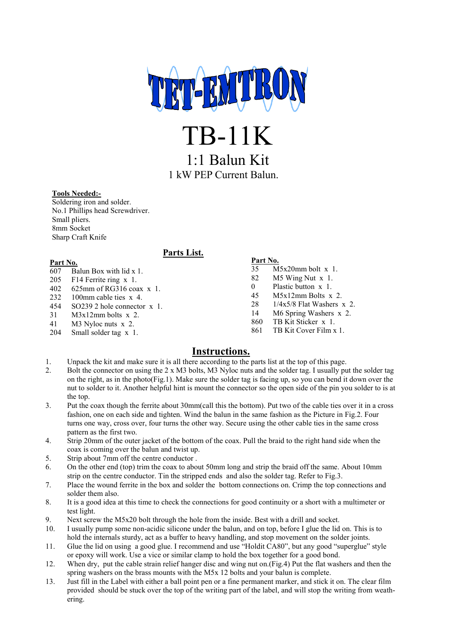

TB-11K

1:1 Balun Kit 1 kW PEP Current Balun.

### **Tools Needed:-**

Soldering iron and solder. No.1 Phillips head Screwdriver. Small pliers. 8mm Socket Sharp Craft Knife

## **Parts List.**

#### **Part No.** 607 Balun Box with lid x 1.

- 205 F14 Ferrite ring x 1.
- 402 625mm of RG316 coax x 1.
- 232 100mm cable ties x 4.
- 454 SO239 2 hole connector x 1.
- 31 M3x12mm bolts x 2.
- 41 M3 Nyloc nuts x 2.
- 204 Small solder tag x 1.

**Part No.** M5x20mm bolt x 1. M5 Wing Nut x 1. Plastic button x 1. M5x12mm Bolts x 2. 1/4x5/8 Flat Washers x 2. M6 Spring Washers x 2. TB Kit Sticker x 1. TB Kit Cover Film x 1.

## **Instructions.**

- 1. Unpack the kit and make sure it is all there according to the parts list at the top of this page.
- 2. Bolt the connector on using the 2 x M3 bolts, M3 Nyloc nuts and the solder tag. I usually put the solder tag on the right, as in the photo(Fig.1). Make sure the solder tag is facing up, so you can bend it down over the nut to solder to it. Another helpful hint is mount the connector so the open side of the pin you solder to is at the top.
- 3. Put the coax though the ferrite about 30mm(call this the bottom). Put two of the cable ties over it in a cross fashion, one on each side and tighten. Wind the balun in the same fashion as the Picture in Fig.2. Four turns one way, cross over, four turns the other way. Secure using the other cable ties in the same cross pattern as the first two.
- 4. Strip 20mm of the outer jacket of the bottom of the coax. Pull the braid to the right hand side when the coax is coming over the balun and twist up.
- 5. Strip about 7mm off the centre conductor .
- 6. On the other end (top) trim the coax to about 50mm long and strip the braid off the same. About 10mm strip on the centre conductor. Tin the stripped ends and also the solder tag. Refer to Fig.3.
- 7. Place the wound ferrite in the box and solder the bottom connections on. Crimp the top connections and solder them also.
- 8. It is a good idea at this time to check the connections for good continuity or a short with a multimeter or test light.
- 9. Next screw the M5x20 bolt through the hole from the inside. Best with a drill and socket.
- 10. I usually pump some non-acidic silicone under the balun, and on top, before I glue the lid on. This is to hold the internals sturdy, act as a buffer to heavy handling, and stop movement on the solder joints.
- 11. Glue the lid on using a good glue. I recommend and use "Holdit CA80", but any good "superglue" style or epoxy will work. Use a vice or similar clamp to hold the box together for a good bond.
- 12. When dry, put the cable strain relief hanger disc and wing nut on.(Fig.4) Put the flat washers and then the spring washers on the brass mounts with the M5x 12 bolts and your balun is complete.
- 13. Just fill in the Label with either a ball point pen or a fine permanent marker, and stick it on. The clear film provided should be stuck over the top of the writing part of the label, and will stop the writing from weathering.